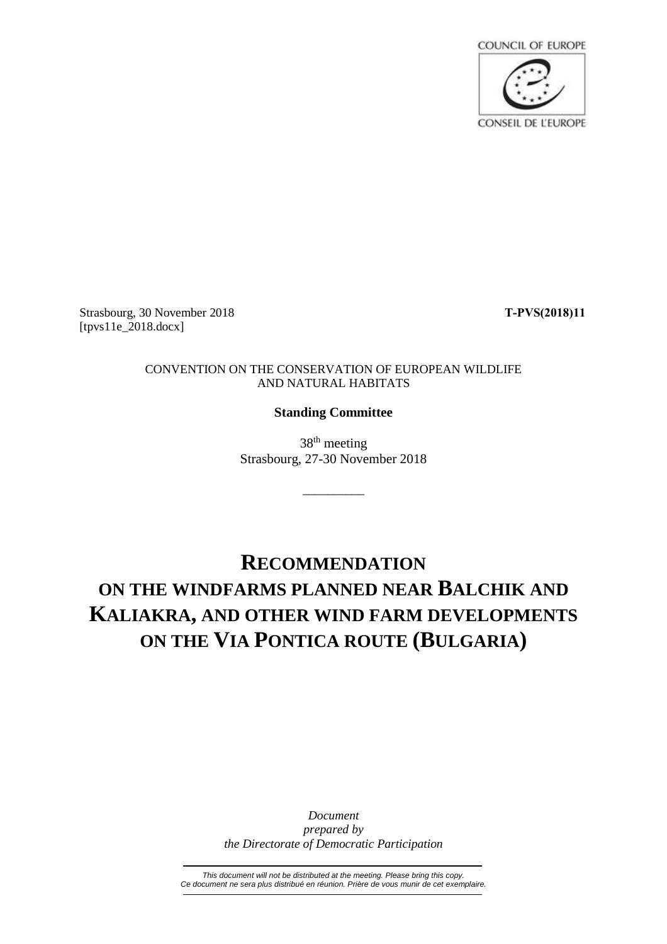

Strasbourg, 30 November 2018 **T-PVS(2018)11** [tpvs11e\_2018.docx]

## CONVENTION ON THE CONSERVATION OF EUROPEAN WILDLIFE AND NATURAL HABITATS

## **Standing Committee**

38th meeting Strasbourg, 27-30 November 2018

\_\_\_\_\_\_\_\_\_\_

## **RECOMMENDATION ON THE WINDFARMS PLANNED NEAR BALCHIK AND KALIAKRA, AND OTHER WIND FARM DEVELOPMENTS ON THE VIA PONTICA ROUTE (BULGARIA)**

*Document prepared by the Directorate of Democratic Participation*

*This document will not be distributed at the meeting. Please bring this copy. Ce document ne sera plus distribué en réunion. Prière de vous munir de cet exemplaire.*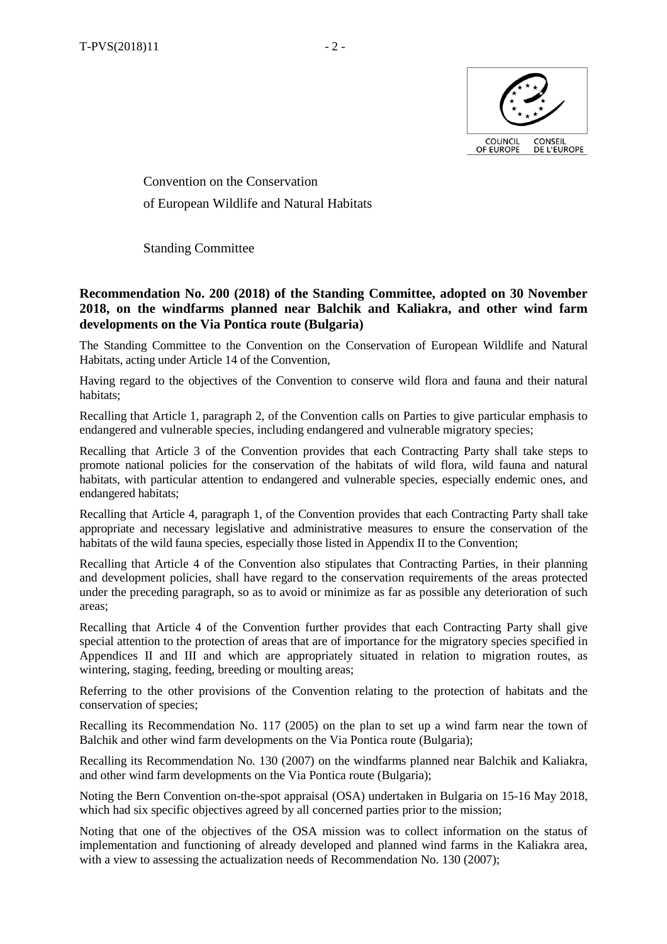

Convention on the Conservation of European Wildlife and Natural Habitats

Standing Committee

## **Recommendation No. 200 (2018) of the Standing Committee, adopted on 30 November 2018, on the windfarms planned near Balchik and Kaliakra, and other wind farm developments on the Via Pontica route (Bulgaria)**

The Standing Committee to the Convention on the Conservation of European Wildlife and Natural Habitats, acting under Article 14 of the Convention,

Having regard to the objectives of the Convention to conserve wild flora and fauna and their natural habitats;

Recalling that Article 1, paragraph 2, of the Convention calls on Parties to give particular emphasis to endangered and vulnerable species, including endangered and vulnerable migratory species;

Recalling that Article 3 of the Convention provides that each Contracting Party shall take steps to promote national policies for the conservation of the habitats of wild flora, wild fauna and natural habitats, with particular attention to endangered and vulnerable species, especially endemic ones, and endangered habitats;

Recalling that Article 4, paragraph 1, of the Convention provides that each Contracting Party shall take appropriate and necessary legislative and administrative measures to ensure the conservation of the habitats of the wild fauna species, especially those listed in Appendix II to the Convention;

Recalling that Article 4 of the Convention also stipulates that Contracting Parties, in their planning and development policies, shall have regard to the conservation requirements of the areas protected under the preceding paragraph, so as to avoid or minimize as far as possible any deterioration of such areas;

Recalling that Article 4 of the Convention further provides that each Contracting Party shall give special attention to the protection of areas that are of importance for the migratory species specified in Appendices II and III and which are appropriately situated in relation to migration routes, as wintering, staging, feeding, breeding or moulting areas;

Referring to the other provisions of the Convention relating to the protection of habitats and the conservation of species;

Recalling its Recommendation No. 117 (2005) on the plan to set up a wind farm near the town of Balchik and other wind farm developments on the Via Pontica route (Bulgaria);

Recalling its Recommendation No. 130 (2007) on the windfarms planned near Balchik and Kaliakra, and other wind farm developments on the Via Pontica route (Bulgaria);

Noting the Bern Convention on-the-spot appraisal (OSA) undertaken in Bulgaria on 15-16 May 2018, which had six specific objectives agreed by all concerned parties prior to the mission;

Noting that one of the objectives of the OSA mission was to collect information on the status of implementation and functioning of already developed and planned wind farms in the Kaliakra area, with a view to assessing the actualization needs of Recommendation No. 130 (2007);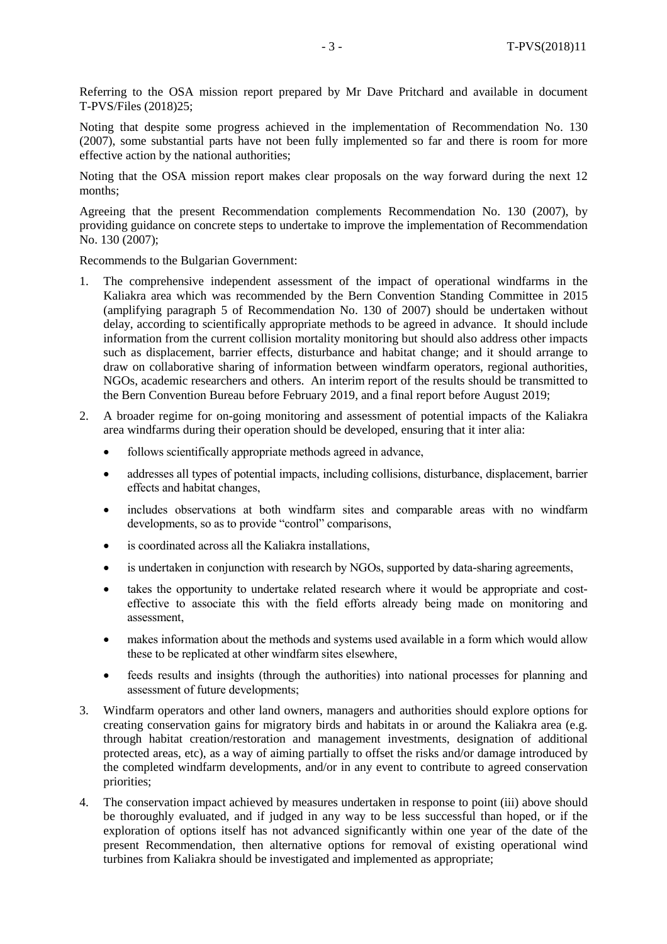Referring to the OSA mission report prepared by Mr Dave Pritchard and available in document T-PVS/Files (2018)25;

Noting that despite some progress achieved in the implementation of Recommendation No. 130 (2007), some substantial parts have not been fully implemented so far and there is room for more effective action by the national authorities;

Noting that the OSA mission report makes clear proposals on the way forward during the next 12 months;

Agreeing that the present Recommendation complements Recommendation No. 130 (2007), by providing guidance on concrete steps to undertake to improve the implementation of Recommendation No. 130 (2007);

Recommends to the Bulgarian Government:

- 1. The comprehensive independent assessment of the impact of operational windfarms in the Kaliakra area which was recommended by the Bern Convention Standing Committee in 2015 (amplifying paragraph 5 of Recommendation No. 130 of 2007) should be undertaken without delay, according to scientifically appropriate methods to be agreed in advance. It should include information from the current collision mortality monitoring but should also address other impacts such as displacement, barrier effects, disturbance and habitat change; and it should arrange to draw on collaborative sharing of information between windfarm operators, regional authorities, NGOs, academic researchers and others. An interim report of the results should be transmitted to the Bern Convention Bureau before February 2019, and a final report before August 2019;
- 2. A broader regime for on-going monitoring and assessment of potential impacts of the Kaliakra area windfarms during their operation should be developed, ensuring that it inter alia:
	- follows scientifically appropriate methods agreed in advance,
	- addresses all types of potential impacts, including collisions, disturbance, displacement, barrier effects and habitat changes,
	- includes observations at both windfarm sites and comparable areas with no windfarm developments, so as to provide "control" comparisons,
	- is coordinated across all the Kaliakra installations,
	- is undertaken in conjunction with research by NGOs, supported by data-sharing agreements,
	- takes the opportunity to undertake related research where it would be appropriate and costeffective to associate this with the field efforts already being made on monitoring and assessment,
	- makes information about the methods and systems used available in a form which would allow these to be replicated at other windfarm sites elsewhere,
	- feeds results and insights (through the authorities) into national processes for planning and assessment of future developments;
- 3. Windfarm operators and other land owners, managers and authorities should explore options for creating conservation gains for migratory birds and habitats in or around the Kaliakra area (e.g. through habitat creation/restoration and management investments, designation of additional protected areas, etc), as a way of aiming partially to offset the risks and/or damage introduced by the completed windfarm developments, and/or in any event to contribute to agreed conservation priorities;
- 4. The conservation impact achieved by measures undertaken in response to point (iii) above should be thoroughly evaluated, and if judged in any way to be less successful than hoped, or if the exploration of options itself has not advanced significantly within one year of the date of the present Recommendation, then alternative options for removal of existing operational wind turbines from Kaliakra should be investigated and implemented as appropriate;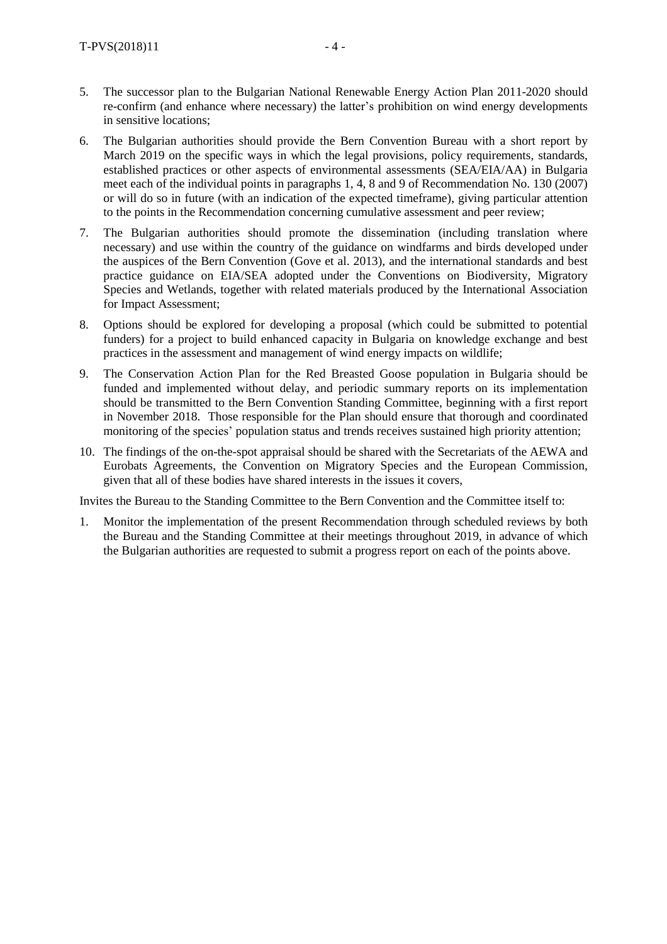- 5. The successor plan to the Bulgarian National Renewable Energy Action Plan 2011-2020 should re-confirm (and enhance where necessary) the latter's prohibition on wind energy developments in sensitive locations;
- 6. The Bulgarian authorities should provide the Bern Convention Bureau with a short report by March 2019 on the specific ways in which the legal provisions, policy requirements, standards, established practices or other aspects of environmental assessments (SEA/EIA/AA) in Bulgaria meet each of the individual points in paragraphs 1, 4, 8 and 9 of Recommendation No. 130 (2007) or will do so in future (with an indication of the expected timeframe), giving particular attention to the points in the Recommendation concerning cumulative assessment and peer review;
- 7. The Bulgarian authorities should promote the dissemination (including translation where necessary) and use within the country of the guidance on windfarms and birds developed under the auspices of the Bern Convention (Gove et al. 2013), and the international standards and best practice guidance on EIA/SEA adopted under the Conventions on Biodiversity, Migratory Species and Wetlands, together with related materials produced by the International Association for Impact Assessment;
- 8. Options should be explored for developing a proposal (which could be submitted to potential funders) for a project to build enhanced capacity in Bulgaria on knowledge exchange and best practices in the assessment and management of wind energy impacts on wildlife;
- 9. The Conservation Action Plan for the Red Breasted Goose population in Bulgaria should be funded and implemented without delay, and periodic summary reports on its implementation should be transmitted to the Bern Convention Standing Committee, beginning with a first report in November 2018. Those responsible for the Plan should ensure that thorough and coordinated monitoring of the species' population status and trends receives sustained high priority attention;
- 10. The findings of the on-the-spot appraisal should be shared with the Secretariats of the AEWA and Eurobats Agreements, the Convention on Migratory Species and the European Commission, given that all of these bodies have shared interests in the issues it covers,

Invites the Bureau to the Standing Committee to the Bern Convention and the Committee itself to:

1. Monitor the implementation of the present Recommendation through scheduled reviews by both the Bureau and the Standing Committee at their meetings throughout 2019, in advance of which the Bulgarian authorities are requested to submit a progress report on each of the points above.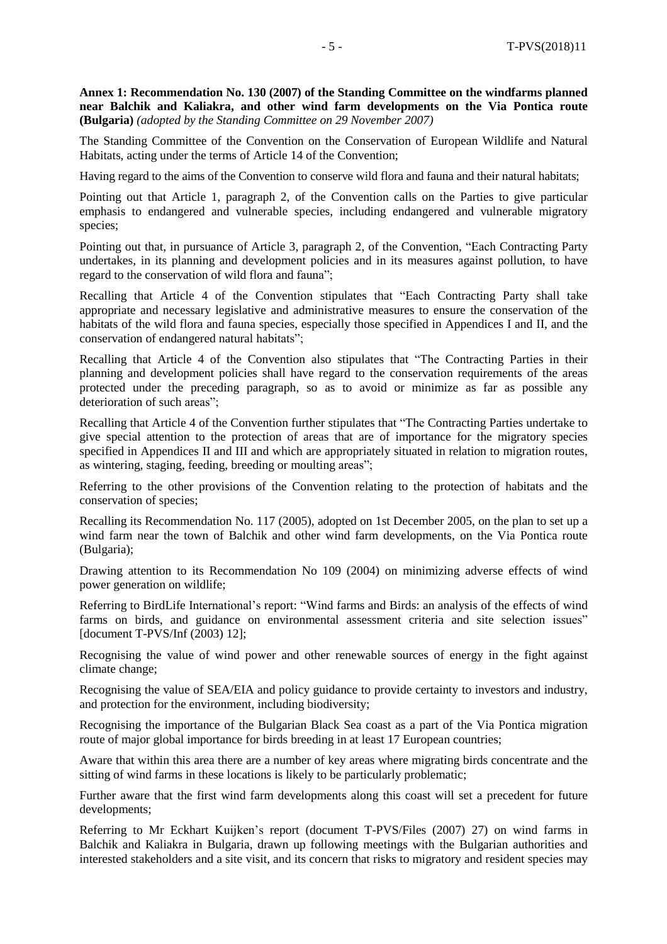**Annex 1: Recommendation No. 130 (2007) of the Standing Committee on the windfarms planned near Balchik and Kaliakra, and other wind farm developments on the Via Pontica route (Bulgaria)** *(adopted by the Standing Committee on 29 November 2007)*

The Standing Committee of the Convention on the Conservation of European Wildlife and Natural Habitats, acting under the terms of Article 14 of the Convention;

Having regard to the aims of the Convention to conserve wild flora and fauna and their natural habitats;

Pointing out that Article 1, paragraph 2, of the Convention calls on the Parties to give particular emphasis to endangered and vulnerable species, including endangered and vulnerable migratory species;

Pointing out that, in pursuance of Article 3, paragraph 2, of the Convention, "Each Contracting Party undertakes, in its planning and development policies and in its measures against pollution, to have regard to the conservation of wild flora and fauna";

Recalling that Article 4 of the Convention stipulates that "Each Contracting Party shall take appropriate and necessary legislative and administrative measures to ensure the conservation of the habitats of the wild flora and fauna species, especially those specified in Appendices I and II, and the conservation of endangered natural habitats";

Recalling that Article 4 of the Convention also stipulates that "The Contracting Parties in their planning and development policies shall have regard to the conservation requirements of the areas protected under the preceding paragraph, so as to avoid or minimize as far as possible any deterioration of such areas";

Recalling that Article 4 of the Convention further stipulates that "The Contracting Parties undertake to give special attention to the protection of areas that are of importance for the migratory species specified in Appendices II and III and which are appropriately situated in relation to migration routes, as wintering, staging, feeding, breeding or moulting areas";

Referring to the other provisions of the Convention relating to the protection of habitats and the conservation of species;

Recalling its Recommendation No. 117 (2005), adopted on 1st December 2005, on the plan to set up a wind farm near the town of Balchik and other wind farm developments, on the Via Pontica route (Bulgaria);

Drawing attention to its Recommendation No 109 (2004) on minimizing adverse effects of wind power generation on wildlife;

Referring to BirdLife International's report: "Wind farms and Birds: an analysis of the effects of wind farms on birds, and guidance on environmental assessment criteria and site selection issues" [document T-PVS/Inf (2003) 12];

Recognising the value of wind power and other renewable sources of energy in the fight against climate change;

Recognising the value of SEA/EIA and policy guidance to provide certainty to investors and industry, and protection for the environment, including biodiversity;

Recognising the importance of the Bulgarian Black Sea coast as a part of the Via Pontica migration route of major global importance for birds breeding in at least 17 European countries;

Aware that within this area there are a number of key areas where migrating birds concentrate and the sitting of wind farms in these locations is likely to be particularly problematic;

Further aware that the first wind farm developments along this coast will set a precedent for future developments;

Referring to Mr Eckhart Kuijken's report (document T-PVS/Files (2007) 27) on wind farms in Balchik and Kaliakra in Bulgaria, drawn up following meetings with the Bulgarian authorities and interested stakeholders and a site visit, and its concern that risks to migratory and resident species may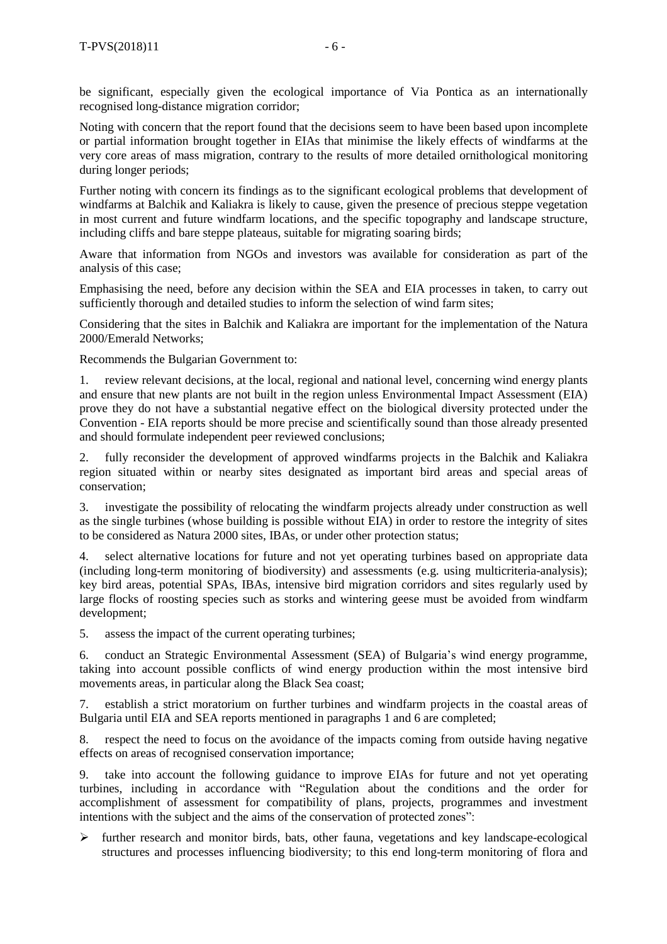be significant, especially given the ecological importance of Via Pontica as an internationally recognised long-distance migration corridor;

Noting with concern that the report found that the decisions seem to have been based upon incomplete or partial information brought together in EIAs that minimise the likely effects of windfarms at the very core areas of mass migration, contrary to the results of more detailed ornithological monitoring during longer periods;

Further noting with concern its findings as to the significant ecological problems that development of windfarms at Balchik and Kaliakra is likely to cause, given the presence of precious steppe vegetation in most current and future windfarm locations, and the specific topography and landscape structure, including cliffs and bare steppe plateaus, suitable for migrating soaring birds;

Aware that information from NGOs and investors was available for consideration as part of the analysis of this case;

Emphasising the need, before any decision within the SEA and EIA processes in taken, to carry out sufficiently thorough and detailed studies to inform the selection of wind farm sites;

Considering that the sites in Balchik and Kaliakra are important for the implementation of the Natura 2000/Emerald Networks;

Recommends the Bulgarian Government to:

1. review relevant decisions, at the local, regional and national level, concerning wind energy plants and ensure that new plants are not built in the region unless Environmental Impact Assessment (EIA) prove they do not have a substantial negative effect on the biological diversity protected under the Convention - EIA reports should be more precise and scientifically sound than those already presented and should formulate independent peer reviewed conclusions;

2. fully reconsider the development of approved windfarms projects in the Balchik and Kaliakra region situated within or nearby sites designated as important bird areas and special areas of conservation;

3. investigate the possibility of relocating the windfarm projects already under construction as well as the single turbines (whose building is possible without EIA) in order to restore the integrity of sites to be considered as Natura 2000 sites, IBAs, or under other protection status;

4. select alternative locations for future and not yet operating turbines based on appropriate data (including long-term monitoring of biodiversity) and assessments (e.g. using multicriteria-analysis); key bird areas, potential SPAs, IBAs, intensive bird migration corridors and sites regularly used by large flocks of roosting species such as storks and wintering geese must be avoided from windfarm development;

5. assess the impact of the current operating turbines;

6. conduct an Strategic Environmental Assessment (SEA) of Bulgaria's wind energy programme, taking into account possible conflicts of wind energy production within the most intensive bird movements areas, in particular along the Black Sea coast;

7. establish a strict moratorium on further turbines and windfarm projects in the coastal areas of Bulgaria until EIA and SEA reports mentioned in paragraphs 1 and 6 are completed;

8. respect the need to focus on the avoidance of the impacts coming from outside having negative effects on areas of recognised conservation importance;

9. take into account the following guidance to improve EIAs for future and not yet operating turbines, including in accordance with "Regulation about the conditions and the order for accomplishment of assessment for compatibility of plans, projects, programmes and investment intentions with the subject and the aims of the conservation of protected zones":

 $\triangleright$  further research and monitor birds, bats, other fauna, vegetations and key landscape-ecological structures and processes influencing biodiversity; to this end long-term monitoring of flora and